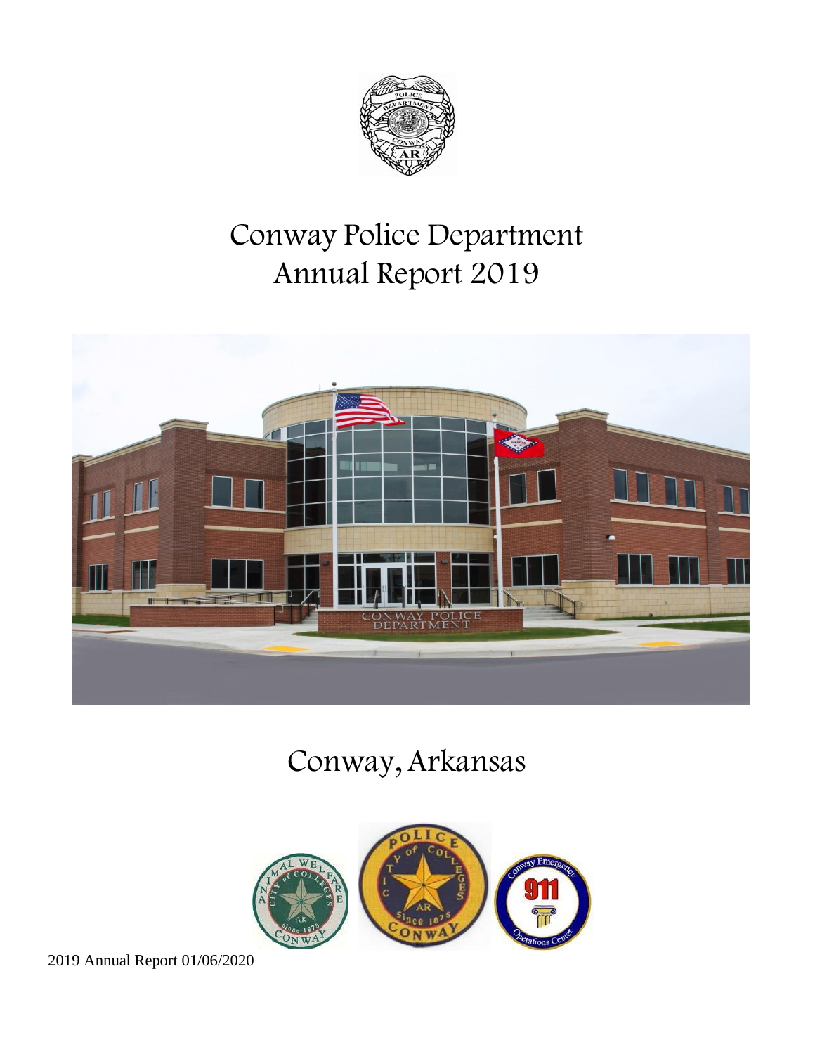

# Conway Police Department Annual Report 2019



# Conway, Arkansas

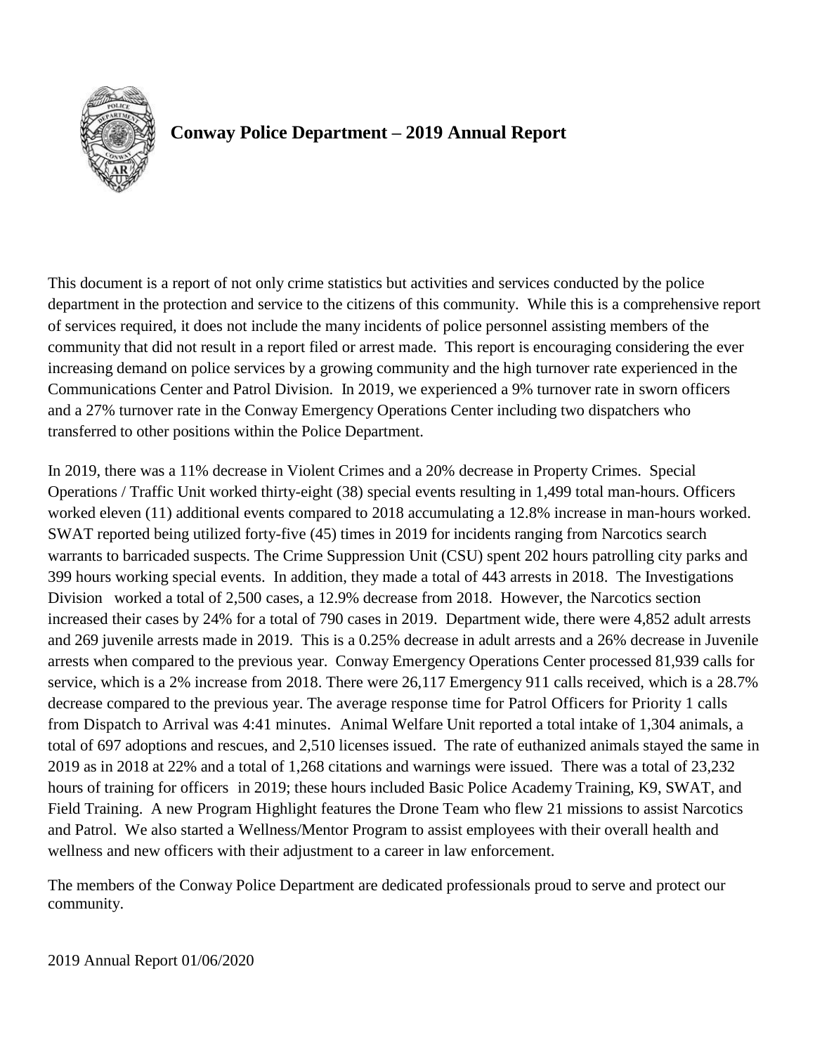

# **Conway Police Department – 2019 Annual Report**

This document is a report of not only crime statistics but activities and services conducted by the police department in the protection and service to the citizens of this community. While this is a comprehensive report of services required, it does not include the many incidents of police personnel assisting members of the community that did not result in a report filed or arrest made. This report is encouraging considering the ever increasing demand on police services by a growing community and the high turnover rate experienced in the Communications Center and Patrol Division. In 2019, we experienced a 9% turnover rate in sworn officers and a 27% turnover rate in the Conway Emergency Operations Center including two dispatchers who transferred to other positions within the Police Department.

In 2019, there was a 11% decrease in Violent Crimes and a 20% decrease in Property Crimes. Special Operations / Traffic Unit worked thirty-eight (38) special events resulting in 1,499 total man-hours. Officers worked eleven (11) additional events compared to 2018 accumulating a 12.8% increase in man-hours worked. SWAT reported being utilized forty-five (45) times in 2019 for incidents ranging from Narcotics search warrants to barricaded suspects. The Crime Suppression Unit (CSU) spent 202 hours patrolling city parks and 399 hours working special events. In addition, they made a total of 443 arrests in 2018. The Investigations Division worked a total of 2,500 cases, a 12.9% decrease from 2018. However, the Narcotics section increased their cases by 24% for a total of 790 cases in 2019. Department wide, there were 4,852 adult arrests and 269 juvenile arrests made in 2019. This is a 0.25% decrease in adult arrests and a 26% decrease in Juvenile arrests when compared to the previous year. Conway Emergency Operations Center processed 81,939 calls for service, which is a 2% increase from 2018. There were 26,117 Emergency 911 calls received, which is a 28.7% decrease compared to the previous year. The average response time for Patrol Officers for Priority 1 calls from Dispatch to Arrival was 4:41 minutes. Animal Welfare Unit reported a total intake of 1,304 animals, a total of 697 adoptions and rescues, and 2,510 licenses issued. The rate of euthanized animals stayed the same in 2019 as in 2018 at 22% and a total of 1,268 citations and warnings were issued. There was a total of 23,232 hours of training for officers in 2019; these hours included Basic Police Academy Training, K9, SWAT, and Field Training. A new Program Highlight features the Drone Team who flew 21 missions to assist Narcotics and Patrol. We also started a Wellness/Mentor Program to assist employees with their overall health and wellness and new officers with their adjustment to a career in law enforcement.

The members of the Conway Police Department are dedicated professionals proud to serve and protect our community.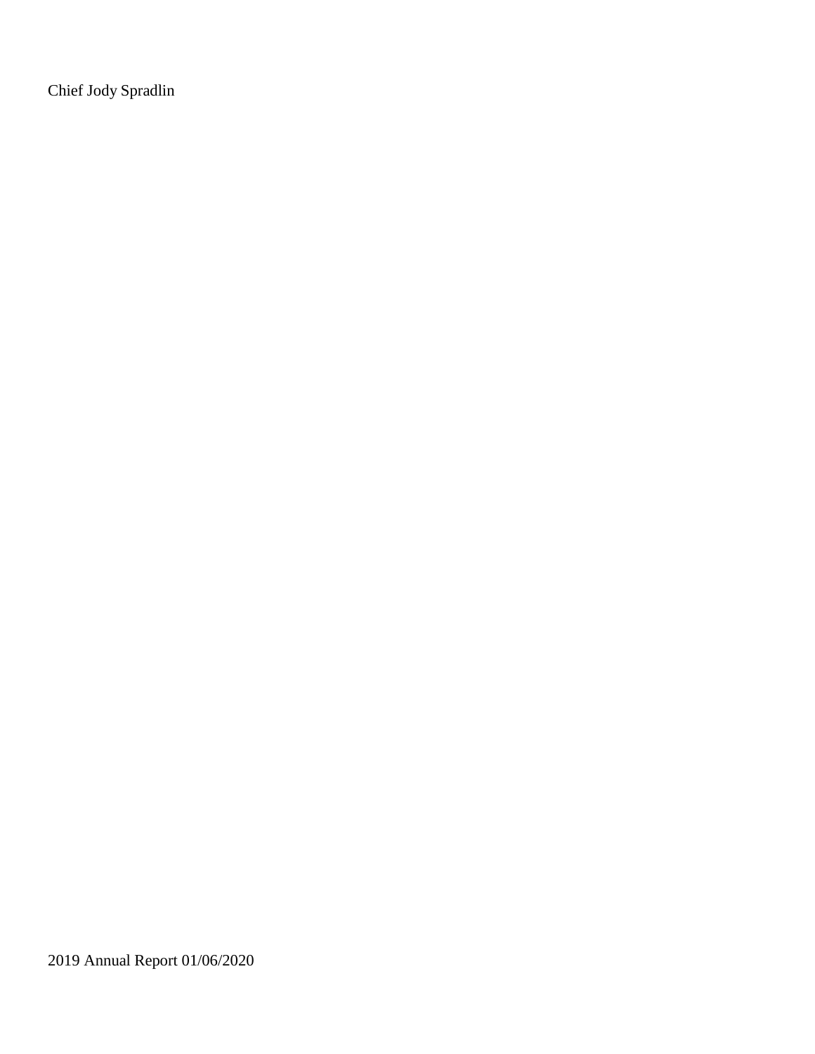Chief Jody Spradlin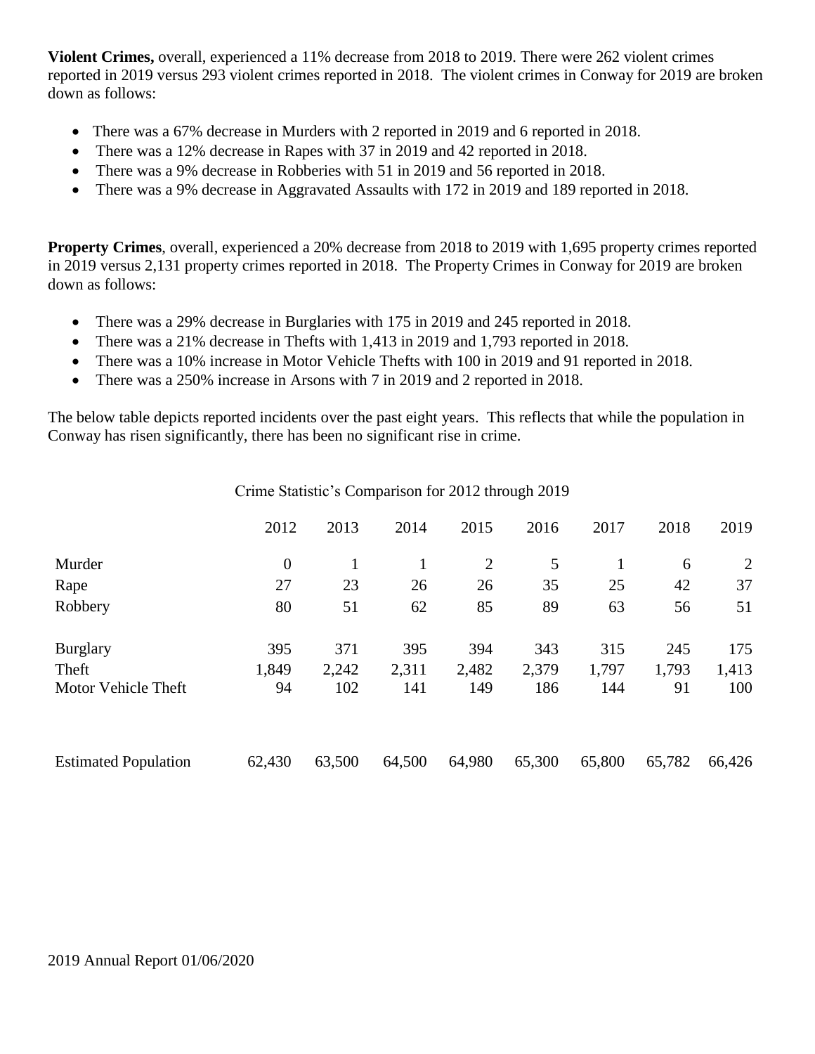**Violent Crimes,** overall, experienced a 11% decrease from 2018 to 2019. There were 262 violent crimes reported in 2019 versus 293 violent crimes reported in 2018. The violent crimes in Conway for 2019 are broken down as follows:

- There was a 67% decrease in Murders with 2 reported in 2019 and 6 reported in 2018.
- There was a 12% decrease in Rapes with 37 in 2019 and 42 reported in 2018.
- There was a 9% decrease in Robberies with 51 in 2019 and 56 reported in 2018.
- There was a 9% decrease in Aggravated Assaults with 172 in 2019 and 189 reported in 2018.

**Property Crimes**, overall, experienced a 20% decrease from 2018 to 2019 with 1,695 property crimes reported in 2019 versus 2,131 property crimes reported in 2018. The Property Crimes in Conway for 2019 are broken down as follows:

- There was a 29% decrease in Burglaries with 175 in 2019 and 245 reported in 2018.
- There was a 21% decrease in Thefts with 1,413 in 2019 and 1,793 reported in 2018.
- There was a 10% increase in Motor Vehicle Thefts with 100 in 2019 and 91 reported in 2018.
- There was a 250% increase in Arsons with 7 in 2019 and 2 reported in 2018.

The below table depicts reported incidents over the past eight years. This reflects that while the population in Conway has risen significantly, there has been no significant rise in crime.

Crime Statistic's Comparison for 2012 through 2019

|                             | 2012           | 2013   | 2014   | 2015           | 2016   | 2017   | 2018   | 2019   |
|-----------------------------|----------------|--------|--------|----------------|--------|--------|--------|--------|
| Murder                      | $\overline{0}$ |        |        | $\overline{2}$ | 5      |        | 6      | 2      |
| Rape                        | 27             | 23     | 26     | 26             | 35     | 25     | 42     | 37     |
| Robbery                     | 80             | 51     | 62     | 85             | 89     | 63     | 56     | 51     |
| <b>Burglary</b>             | 395            | 371    | 395    | 394            | 343    | 315    | 245    | 175    |
| Theft                       | 1,849          | 2,242  | 2,311  | 2,482          | 2,379  | 1,797  | 1,793  | 1,413  |
| Motor Vehicle Theft         | 94             | 102    | 141    | 149            | 186    | 144    | 91     | 100    |
|                             |                |        |        |                |        |        |        |        |
| <b>Estimated Population</b> | 62,430         | 63,500 | 64,500 | 64,980         | 65,300 | 65,800 | 65,782 | 66,426 |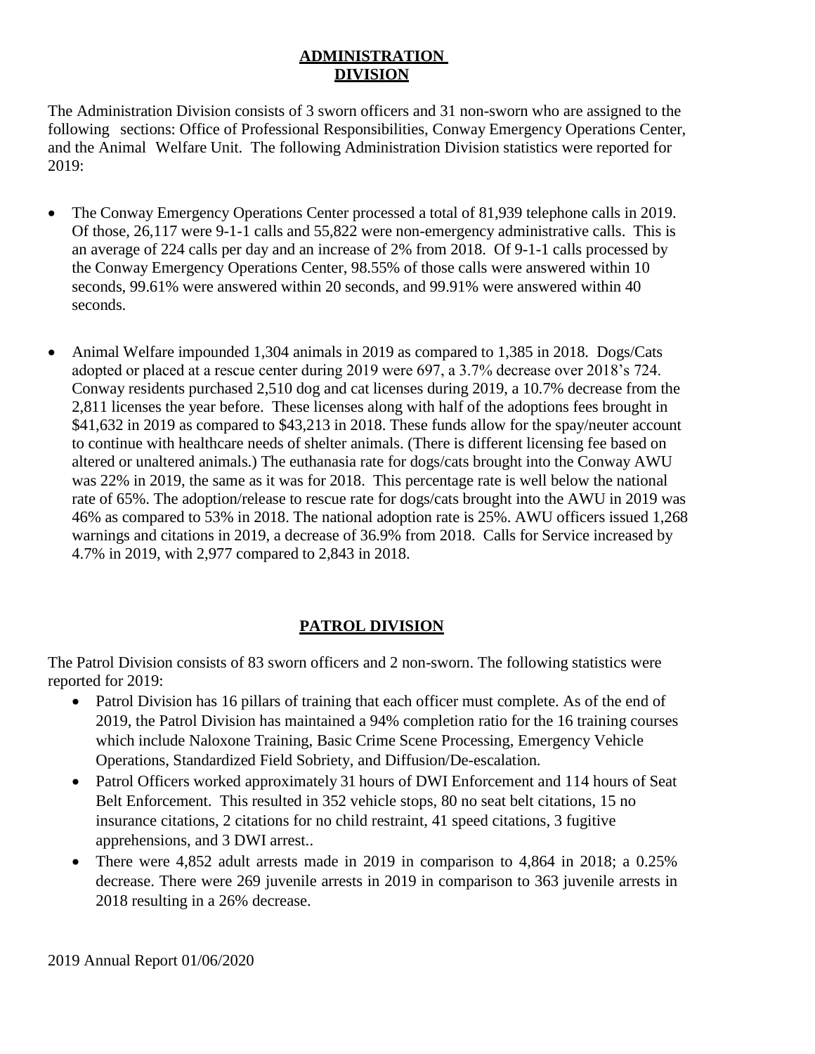### **ADMINISTRATION DIVISION**

The Administration Division consists of 3 sworn officers and 31 non-sworn who are assigned to the following sections: Office of Professional Responsibilities, Conway Emergency Operations Center, and the Animal Welfare Unit. The following Administration Division statistics were reported for 2019:

- The Conway Emergency Operations Center processed a total of 81,939 telephone calls in 2019. Of those, 26,117 were 9-1-1 calls and 55,822 were non-emergency administrative calls. This is an average of 224 calls per day and an increase of 2% from 2018. Of 9-1-1 calls processed by the Conway Emergency Operations Center, 98.55% of those calls were answered within 10 seconds, 99.61% were answered within 20 seconds, and 99.91% were answered within 40 seconds.
- Animal Welfare impounded 1,304 animals in 2019 as compared to 1,385 in 2018. Dogs/Cats adopted or placed at a rescue center during 2019 were 697, a 3.7% decrease over 2018's 724. Conway residents purchased 2,510 dog and cat licenses during 2019, a 10.7% decrease from the 2,811 licenses the year before. These licenses along with half of the adoptions fees brought in \$41,632 in 2019 as compared to \$43,213 in 2018. These funds allow for the spay/neuter account to continue with healthcare needs of shelter animals. (There is different licensing fee based on altered or unaltered animals.) The euthanasia rate for dogs/cats brought into the Conway AWU was 22% in 2019, the same as it was for 2018. This percentage rate is well below the national rate of 65%. The adoption/release to rescue rate for dogs/cats brought into the AWU in 2019 was 46% as compared to 53% in 2018. The national adoption rate is 25%. AWU officers issued 1,268 warnings and citations in 2019, a decrease of 36.9% from 2018. Calls for Service increased by 4.7% in 2019, with 2,977 compared to 2,843 in 2018.

## **PATROL DIVISION**

The Patrol Division consists of 83 sworn officers and 2 non-sworn. The following statistics were reported for 2019:

- Patrol Division has 16 pillars of training that each officer must complete. As of the end of 2019, the Patrol Division has maintained a 94% completion ratio for the 16 training courses which include Naloxone Training, Basic Crime Scene Processing, Emergency Vehicle Operations, Standardized Field Sobriety, and Diffusion/De-escalation.
- Patrol Officers worked approximately 31 hours of DWI Enforcement and 114 hours of Seat Belt Enforcement. This resulted in 352 vehicle stops, 80 no seat belt citations, 15 no insurance citations, 2 citations for no child restraint, 41 speed citations, 3 fugitive apprehensions, and 3 DWI arrest..
- There were 4,852 adult arrests made in 2019 in comparison to 4,864 in 2018; a 0.25% decrease. There were 269 juvenile arrests in 2019 in comparison to 363 juvenile arrests in 2018 resulting in a 26% decrease.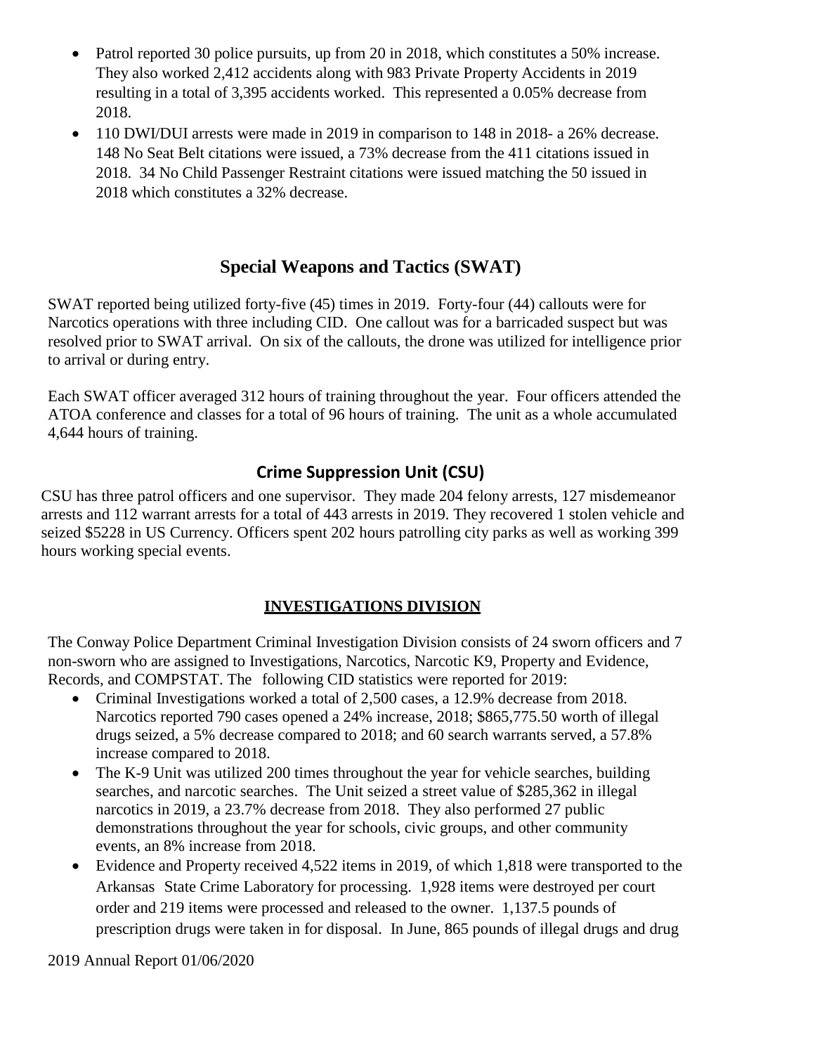- Patrol reported 30 police pursuits, up from 20 in 2018, which constitutes a 50% increase. They also worked 2,412 accidents along with 983 Private Property Accidents in 2019 resulting in a total of 3,395 accidents worked. This represented a 0.05% decrease from 2018.
- 110 DWI/DUI arrests were made in 2019 in comparison to 148 in 2018- a 26% decrease. 148 No Seat Belt citations were issued, a 73% decrease from the 411 citations issued in 2018. 34 No Child Passenger Restraint citations were issued matching the 50 issued in 2018 which constitutes a 32% decrease.

## **Special Weapons and Tactics (SWAT)**

SWAT reported being utilized forty-five (45) times in 2019. Forty-four (44) callouts were for Narcotics operations with three including CID. One callout was for a barricaded suspect but was resolved prior to SWAT arrival. On six of the callouts, the drone was utilized for intelligence prior to arrival or during entry.

Each SWAT officer averaged 312 hours of training throughout the year. Four officers attended the ATOA conference and classes for a total of 96 hours of training. The unit as a whole accumulated 4,644 hours of training.

### **Crime Suppression Unit (CSU)**

CSU has three patrol officers and one supervisor. They made 204 felony arrests, 127 misdemeanor arrests and 112 warrant arrests for a total of 443 arrests in 2019. They recovered 1 stolen vehicle and seized \$5228 in US Currency. Officers spent 202 hours patrolling city parks as well as working 399 hours working special events.

### **INVESTIGATIONS DIVISION**

The Conway Police Department Criminal Investigation Division consists of 24 sworn officers and 7 non-sworn who are assigned to Investigations, Narcotics, Narcotic K9, Property and Evidence, Records, and COMPSTAT. The following CID statistics were reported for 2019:

- Criminal Investigations worked a total of 2,500 cases, a 12.9% decrease from 2018. Narcotics reported 790 cases opened a 24% increase, 2018; \$865,775.50 worth of illegal drugs seized, a 5% decrease compared to 2018; and 60 search warrants served, a 57.8% increase compared to 2018.
- The K-9 Unit was utilized 200 times throughout the year for vehicle searches, building searches, and narcotic searches. The Unit seized a street value of \$285,362 in illegal narcotics in 2019, a 23.7% decrease from 2018. They also performed 27 public demonstrations throughout the year for schools, civic groups, and other community events, an 8% increase from 2018.
- Evidence and Property received 4,522 items in 2019, of which 1,818 were transported to the Arkansas State Crime Laboratory for processing. 1,928 items were destroyed per court order and 219 items were processed and released to the owner. 1,137.5 pounds of prescription drugs were taken in for disposal. In June, 865 pounds of illegal drugs and drug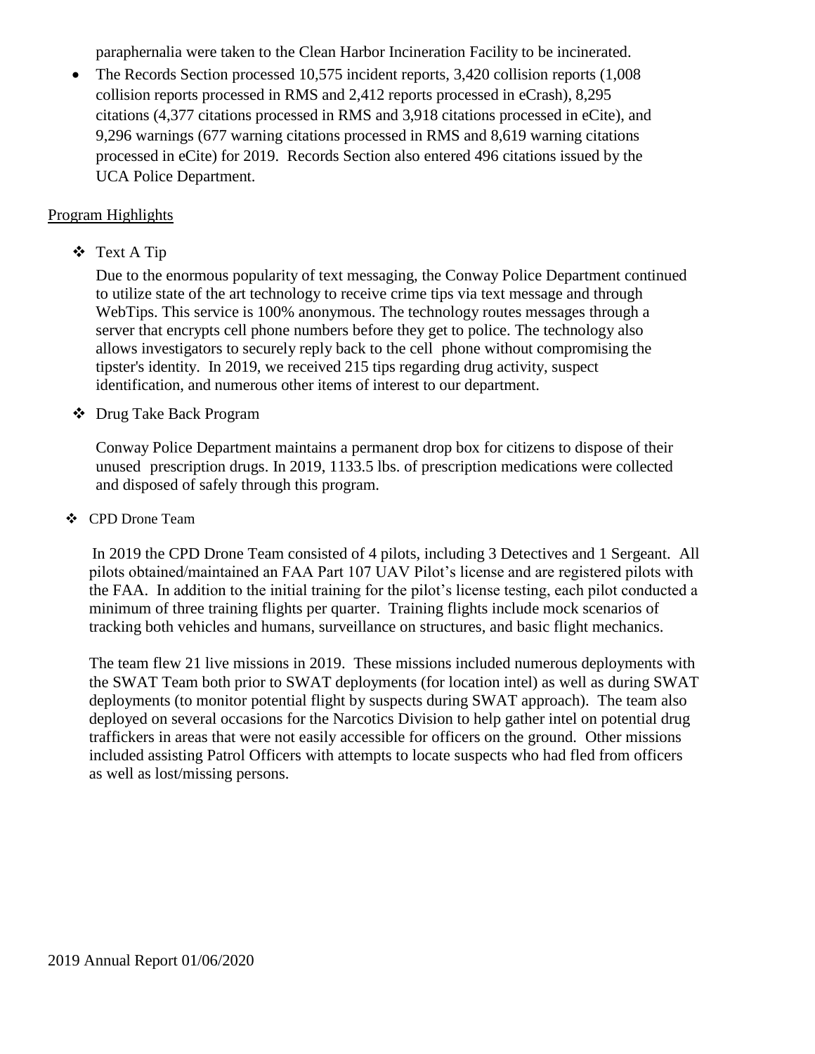paraphernalia were taken to the Clean Harbor Incineration Facility to be incinerated.

• The Records Section processed 10,575 incident reports, 3,420 collision reports (1,008) collision reports processed in RMS and 2,412 reports processed in eCrash), 8,295 citations (4,377 citations processed in RMS and 3,918 citations processed in eCite), and 9,296 warnings (677 warning citations processed in RMS and 8,619 warning citations processed in eCite) for 2019. Records Section also entered 496 citations issued by the UCA Police Department.

#### Program Highlights

## ❖ Text A Tip

Due to the enormous popularity of text messaging, the Conway Police Department continued to utilize state of the art technology to receive crime tips via text message and through WebTips. This service is 100% anonymous. The technology routes messages through a server that encrypts cell phone numbers before they get to police. The technology also allows investigators to securely reply back to the cell phone without compromising the tipster's identity. In 2019, we received 215 tips regarding drug activity, suspect identification, and numerous other items of interest to our department.

#### ❖ Drug Take Back Program

Conway Police Department maintains a permanent drop box for citizens to dispose of their unused prescription drugs. In 2019, 1133.5 lbs. of prescription medications were collected and disposed of safely through this program.

#### ❖ CPD Drone Team

In 2019 the CPD Drone Team consisted of 4 pilots, including 3 Detectives and 1 Sergeant. All pilots obtained/maintained an FAA Part 107 UAV Pilot's license and are registered pilots with the FAA. In addition to the initial training for the pilot's license testing, each pilot conducted a minimum of three training flights per quarter. Training flights include mock scenarios of tracking both vehicles and humans, surveillance on structures, and basic flight mechanics.

The team flew 21 live missions in 2019. These missions included numerous deployments with the SWAT Team both prior to SWAT deployments (for location intel) as well as during SWAT deployments (to monitor potential flight by suspects during SWAT approach). The team also deployed on several occasions for the Narcotics Division to help gather intel on potential drug traffickers in areas that were not easily accessible for officers on the ground. Other missions included assisting Patrol Officers with attempts to locate suspects who had fled from officers as well as lost/missing persons.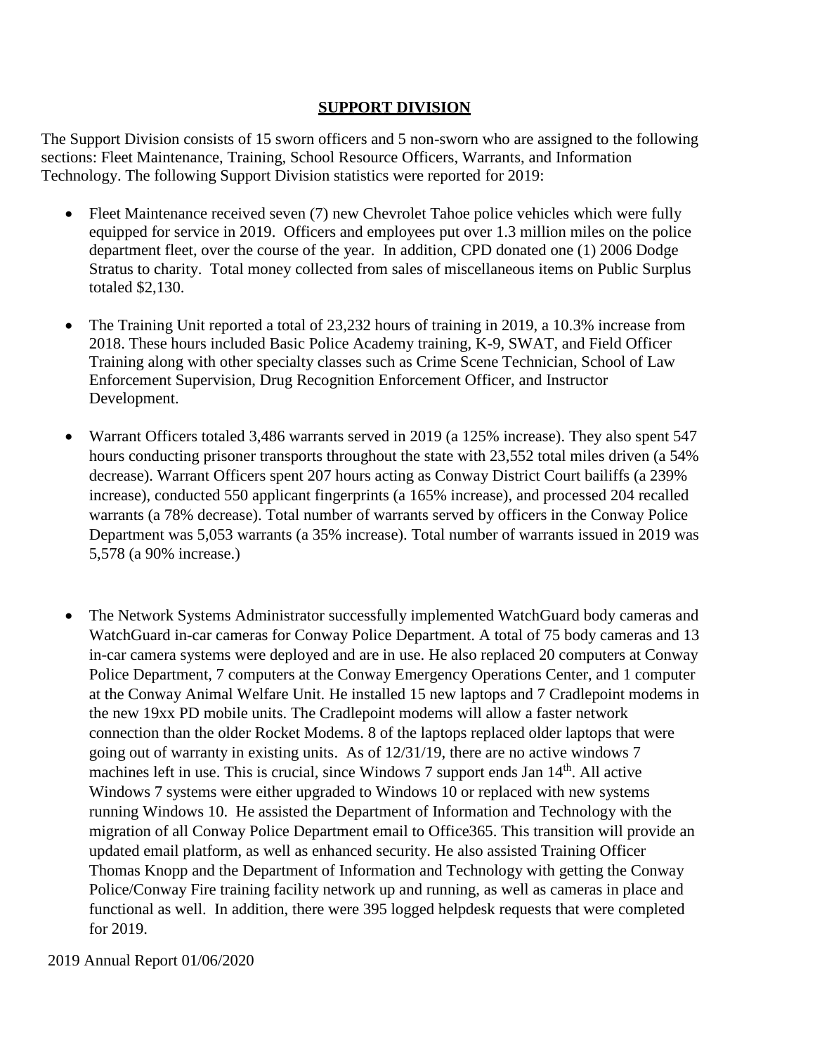#### **SUPPORT DIVISION**

The Support Division consists of 15 sworn officers and 5 non-sworn who are assigned to the following sections: Fleet Maintenance, Training, School Resource Officers, Warrants, and Information Technology. The following Support Division statistics were reported for 2019:

- Fleet Maintenance received seven (7) new Chevrolet Tahoe police vehicles which were fully equipped for service in 2019. Officers and employees put over 1.3 million miles on the police department fleet, over the course of the year. In addition, CPD donated one (1) 2006 Dodge Stratus to charity. Total money collected from sales of miscellaneous items on Public Surplus totaled \$2,130.
- The Training Unit reported a total of 23,232 hours of training in 2019, a 10.3% increase from 2018. These hours included Basic Police Academy training, K-9, SWAT, and Field Officer Training along with other specialty classes such as Crime Scene Technician, School of Law Enforcement Supervision, Drug Recognition Enforcement Officer, and Instructor Development.
- Warrant Officers totaled 3,486 warrants served in 2019 (a 125% increase). They also spent 547 hours conducting prisoner transports throughout the state with 23,552 total miles driven (a 54% decrease). Warrant Officers spent 207 hours acting as Conway District Court bailiffs (a 239% increase), conducted 550 applicant fingerprints (a 165% increase), and processed 204 recalled warrants (a 78% decrease). Total number of warrants served by officers in the Conway Police Department was 5,053 warrants (a 35% increase). Total number of warrants issued in 2019 was 5,578 (a 90% increase.)
- The Network Systems Administrator successfully implemented WatchGuard body cameras and WatchGuard in-car cameras for Conway Police Department. A total of 75 body cameras and 13 in-car camera systems were deployed and are in use. He also replaced 20 computers at Conway Police Department, 7 computers at the Conway Emergency Operations Center, and 1 computer at the Conway Animal Welfare Unit. He installed 15 new laptops and 7 Cradlepoint modems in the new 19xx PD mobile units. The Cradlepoint modems will allow a faster network connection than the older Rocket Modems. 8 of the laptops replaced older laptops that were going out of warranty in existing units. As of 12/31/19, there are no active windows 7 machines left in use. This is crucial, since Windows 7 support ends Jan 14<sup>th</sup>. All active Windows 7 systems were either upgraded to Windows 10 or replaced with new systems running Windows 10. He assisted the Department of Information and Technology with the migration of all Conway Police Department email to Office365. This transition will provide an updated email platform, as well as enhanced security. He also assisted Training Officer Thomas Knopp and the Department of Information and Technology with getting the Conway Police/Conway Fire training facility network up and running, as well as cameras in place and functional as well. In addition, there were 395 logged helpdesk requests that were completed for 2019.
- 2019 Annual Report 01/06/2020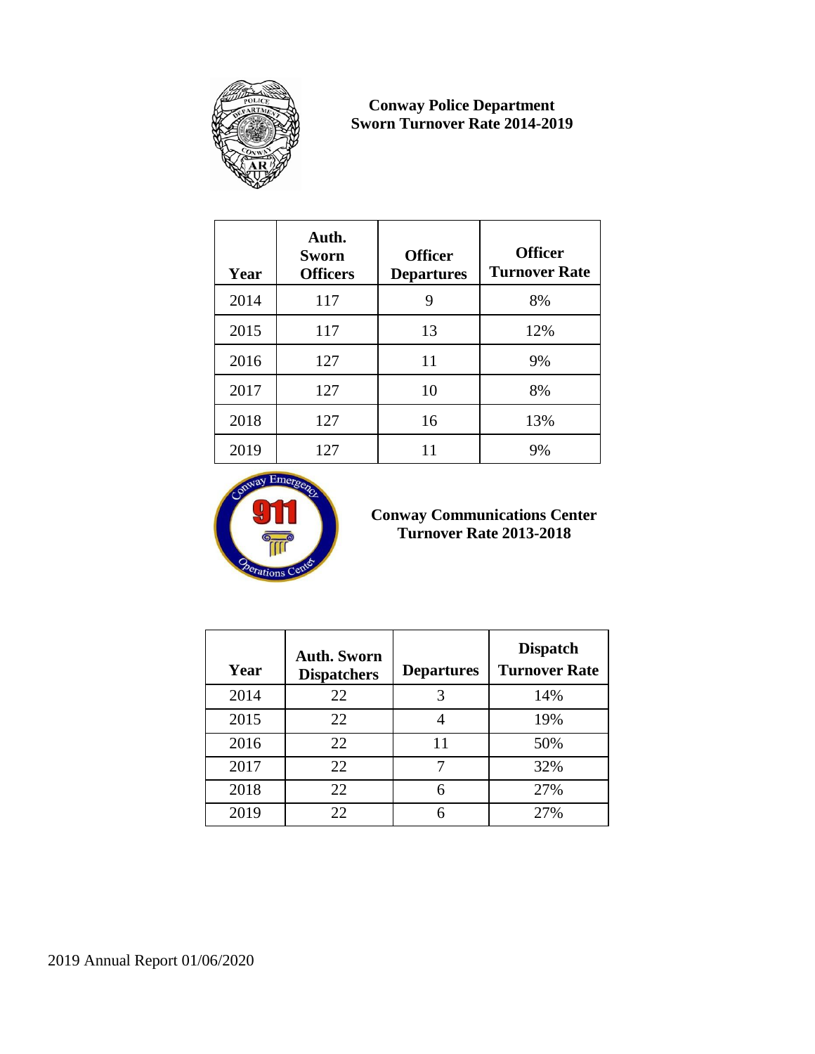

#### **Conway Police Department Sworn Turnover Rate 2014-2019**

| Year | Auth.<br>Sworn<br><b>Officers</b> | <b>Officer</b><br><b>Departures</b> | <b>Officer</b><br><b>Turnover Rate</b> |
|------|-----------------------------------|-------------------------------------|----------------------------------------|
| 2014 | 117                               | 9                                   | 8%                                     |
| 2015 | 117                               | 13                                  | 12%                                    |
| 2016 | 127                               | 11                                  | 9%                                     |
| 2017 | 127                               | 10                                  | 8%                                     |
| 2018 | 127                               | 16                                  | 13%                                    |
| 2019 | 127                               | 11                                  | 9%                                     |



## **Conway Communications Center Turnover Rate 2013-2018**

| Year | <b>Auth. Sworn</b><br><b>Dispatchers</b> | <b>Departures</b> | <b>Dispatch</b><br><b>Turnover Rate</b> |
|------|------------------------------------------|-------------------|-----------------------------------------|
| 2014 | 22                                       | 3                 | 14%                                     |
| 2015 | 22                                       |                   | 19%                                     |
| 2016 | 22                                       | 11                | 50%                                     |
| 2017 | 22                                       |                   | 32%                                     |
| 2018 | 22                                       | 6                 | 27%                                     |
| 2019 | 22                                       |                   | 27%                                     |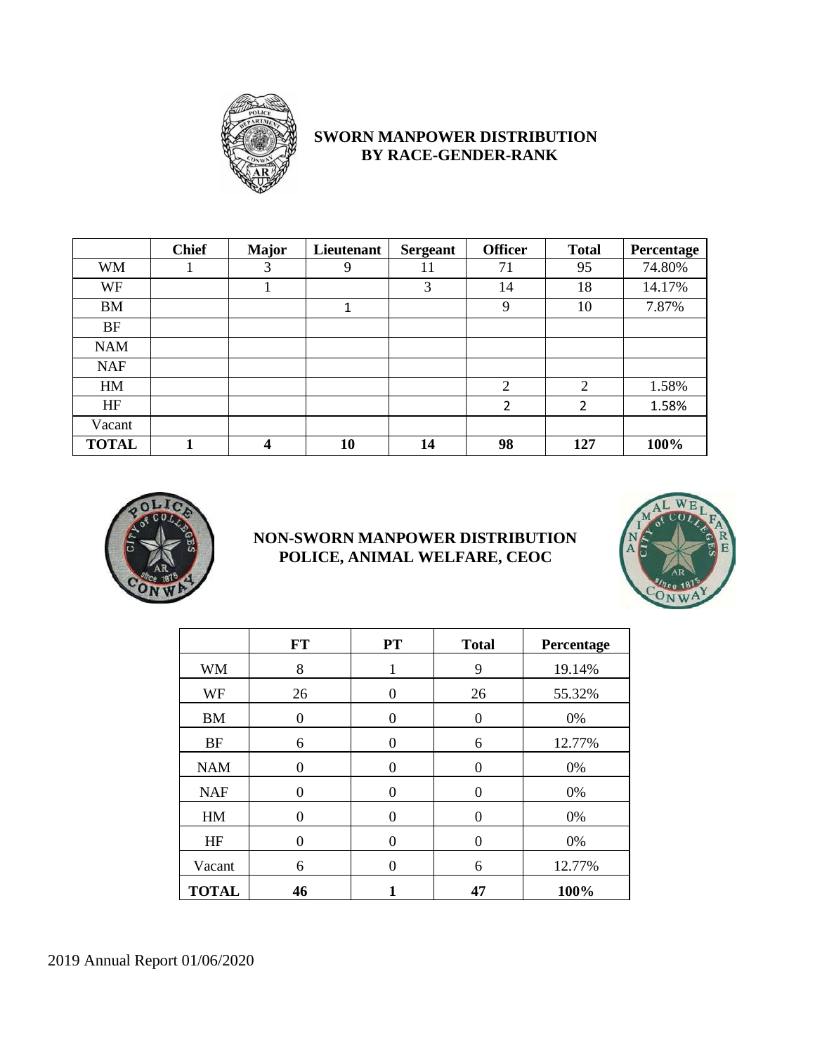

#### **SWORN MANPOWER DISTRIBUTION BY RACE-GENDER-RANK**

|              | <b>Chief</b> | <b>Major</b> | Lieutenant | <b>Sergeant</b> | <b>Officer</b>           | <b>Total</b>   | Percentage |
|--------------|--------------|--------------|------------|-----------------|--------------------------|----------------|------------|
| <b>WM</b>    |              | 3            | 9          | 11              | 71                       | 95             | 74.80%     |
| WF           |              |              |            | 3               | 14                       | 18             | 14.17%     |
| <b>BM</b>    |              |              | 1          |                 | 9                        | 10             | 7.87%      |
| <b>BF</b>    |              |              |            |                 |                          |                |            |
| <b>NAM</b>   |              |              |            |                 |                          |                |            |
| <b>NAF</b>   |              |              |            |                 |                          |                |            |
| HM           |              |              |            |                 | $\overline{2}$           | $\overline{2}$ | 1.58%      |
| HF           |              |              |            |                 | $\overline{\phantom{a}}$ | 2              | 1.58%      |
| Vacant       |              |              |            |                 |                          |                |            |
| <b>TOTAL</b> |              | 4            | 10         | 14              | 98                       | 127            | 100%       |

![](_page_9_Picture_3.jpeg)

### **NON-SWORN MANPOWER DISTRIBUTION POLICE, ANIMAL WELFARE, CEOC**

![](_page_9_Picture_5.jpeg)

|              | FT | <b>PT</b> | <b>Total</b> | Percentage |
|--------------|----|-----------|--------------|------------|
| WM           | 8  |           | 9            | 19.14%     |
| WF           | 26 | $\Omega$  | 26           | 55.32%     |
| <b>BM</b>    | 0  | $\Omega$  | $\theta$     | 0%         |
| <b>BF</b>    | 6  | 0         | 6            | 12.77%     |
| <b>NAM</b>   | 0  | $\theta$  | $\theta$     | 0%         |
| <b>NAF</b>   | 0  | $\theta$  | $\Omega$     | 0%         |
| HM           | 0  | $\Omega$  | $\Omega$     | 0%         |
| HF           | 0  | $\Omega$  | $\Omega$     | 0%         |
| Vacant       | 6  | 0         | 6            | 12.77%     |
| <b>TOTAL</b> | 46 |           | 47           | 100%       |